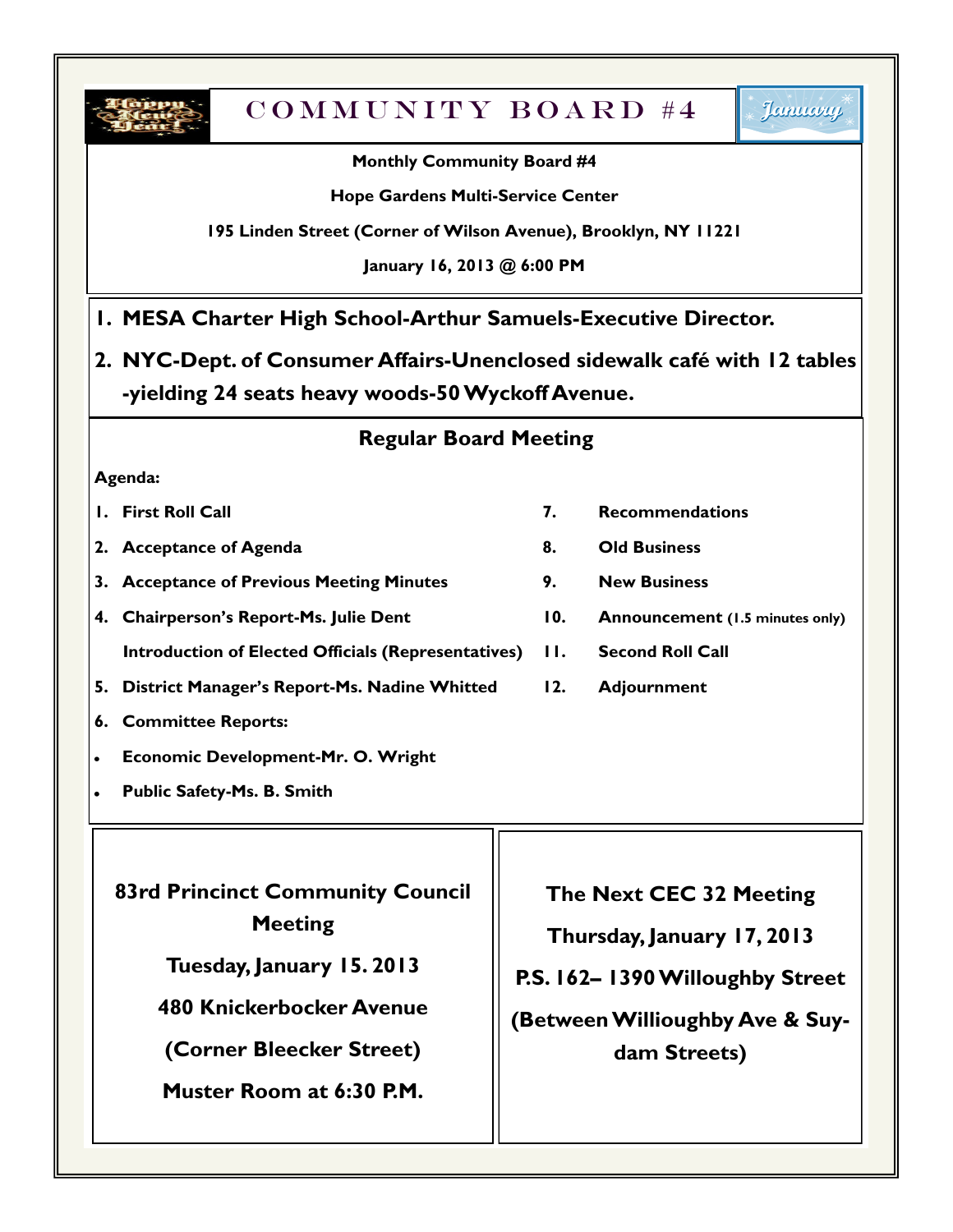

# $COMMUNITY~BOARD #4$

### **Monthly Community Board #4**

#### **Hope Gardens Multi-Service Center**

#### **195 Linden Street (Corner of Wilson Avenue), Brooklyn, NY 11221**

#### **January 16, 2013 @ 6:00 PM**

### **1. MESA Charter High School-Arthur Samuels-Executive Director.**

**2. NYC-Dept. of Consumer Affairs-Unenclosed sidewalk café with 12 tables -yielding 24 seats heavy woods-50 Wyckoff Avenue.**

### **Regular Board Meeting**

#### **Agenda:**

- 
- **2. Acceptance of Agenda 8. Old Business**
- **3. Acceptance of Previous Meeting Minutes 9. New Business**
- **4. Chairperson's Report-Ms. Julie Dent 10. Announcement (1.5 minutes only)**
- **Introduction of Elected Officials (Representatives) 11. Second Roll Call**
- **5. District Manager's Report-Ms. Nadine Whitted 12. Adjournment**
- **6. Committee Reports:**
- **Economic Development-Mr. O. Wright**
- **Public Safety-Ms. B. Smith**

**83rd Princinct Community Council Meeting**

**Tuesday, January 15. 2013**

**480 Knickerbocker Avenue**

**(Corner Bleecker Street)**

**Muster Room at 6:30 P.M.**

- **1. First Roll Call 7. Recommendations**
	-
	-
	-
	-
	-

**The Next CEC 32 Meeting**

**Thursday, January 17, 2013**

**P.S. 162– 1390 Willoughby Street**

**(Between Willioughby Ave & Suydam Streets)**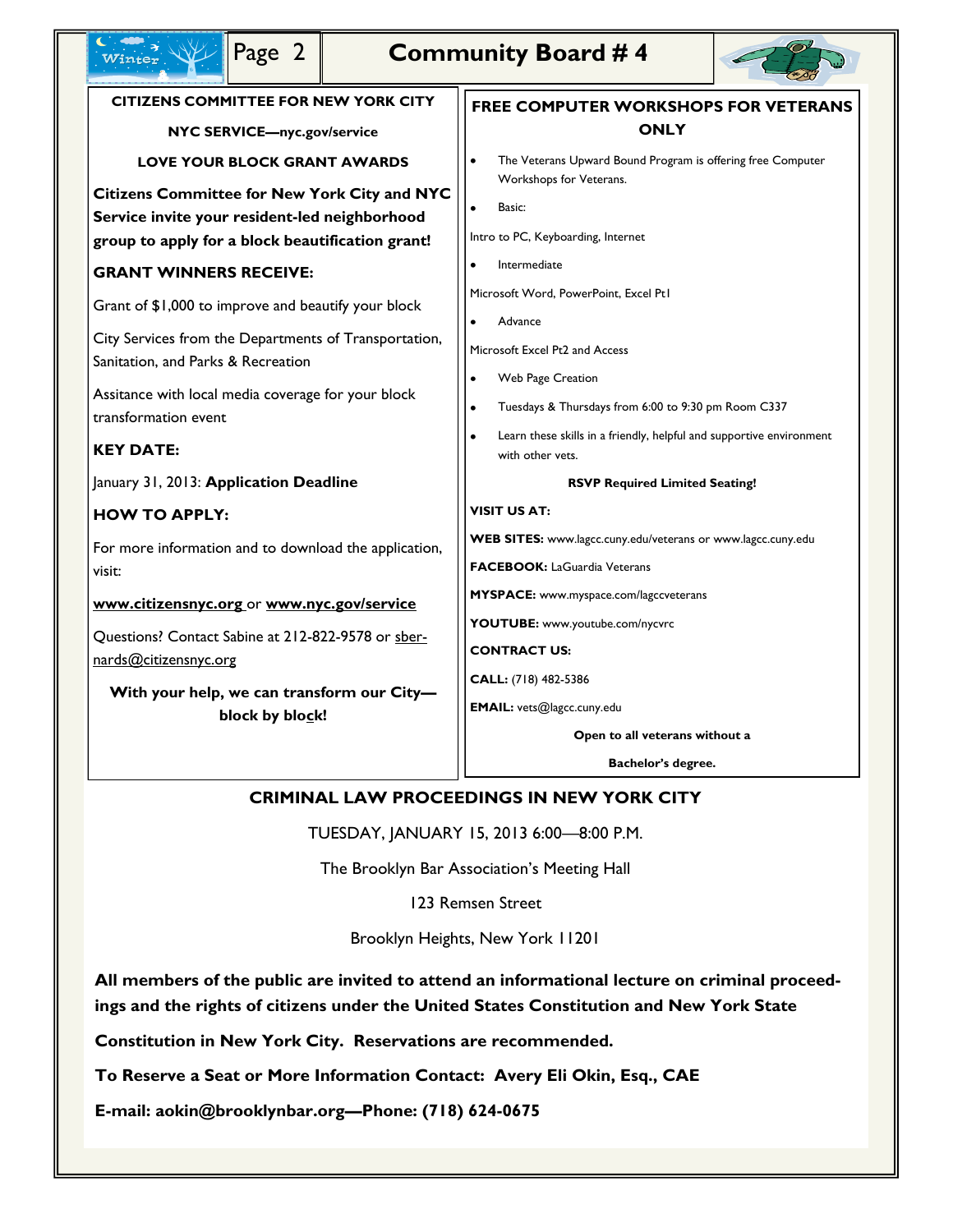| Page 2                                                                                                                                                                                                                           | <b>Community Board #4</b> |                                                                                                                                                                                    |                                        |  |                                                                                                       |
|----------------------------------------------------------------------------------------------------------------------------------------------------------------------------------------------------------------------------------|---------------------------|------------------------------------------------------------------------------------------------------------------------------------------------------------------------------------|----------------------------------------|--|-------------------------------------------------------------------------------------------------------|
| <b>CITIZENS COMMITTEE FOR NEW YORK CITY</b>                                                                                                                                                                                      |                           | <b>FREE COMPUTER WORKSHOPS FOR VETERANS</b>                                                                                                                                        |                                        |  |                                                                                                       |
| NYC SERVICE-nyc.gov/service                                                                                                                                                                                                      |                           | <b>ONLY</b>                                                                                                                                                                        |                                        |  |                                                                                                       |
| <b>LOVE YOUR BLOCK GRANT AWARDS</b>                                                                                                                                                                                              |                           | The Veterans Upward Bound Program is offering free Computer                                                                                                                        |                                        |  |                                                                                                       |
| <b>Citizens Committee for New York City and NYC</b><br>Service invite your resident-led neighborhood<br>group to apply for a block beautification grant!                                                                         |                           | Workshops for Veterans.<br>Basic:<br>Intro to PC, Keyboarding, Internet                                                                                                            |                                        |  |                                                                                                       |
| <b>GRANT WINNERS RECEIVE:</b>                                                                                                                                                                                                    |                           | Intermediate                                                                                                                                                                       |                                        |  |                                                                                                       |
| Grant of \$1,000 to improve and beautify your block<br>City Services from the Departments of Transportation,<br>Sanitation, and Parks & Recreation<br>Assitance with local media coverage for your block<br>transformation event |                           | Microsoft Word, PowerPoint, Excel Pt1<br>Advance<br>Microsoft Excel Pt2 and Access<br><b>Web Page Creation</b><br>$\bullet$<br>Tuesdays & Thursdays from 6:00 to 9:30 pm Room C337 |                                        |  |                                                                                                       |
|                                                                                                                                                                                                                                  |                           |                                                                                                                                                                                    | <b>KEY DATE:</b>                       |  | Learn these skills in a friendly, helpful and supportive environment<br>$\bullet$<br>with other vets. |
|                                                                                                                                                                                                                                  |                           |                                                                                                                                                                                    | January 31, 2013: Application Deadline |  | <b>RSVP Required Limited Seating!</b>                                                                 |
| <b>HOW TO APPLY:</b>                                                                                                                                                                                                             |                           | <b>VISIT US AT:</b>                                                                                                                                                                |                                        |  |                                                                                                       |
| For more information and to download the application,<br>visit:<br>www.citizensnyc.org or www.nyc.gov/service                                                                                                                    |                           | WEB SITES: www.lagcc.cuny.edu/veterans or www.lagcc.cuny.edu<br><b>FACEBOOK: LaGuardia Veterans</b>                                                                                |                                        |  |                                                                                                       |
|                                                                                                                                                                                                                                  |                           | <b>MYSPACE:</b> www.myspace.com/lagccveterans                                                                                                                                      |                                        |  |                                                                                                       |
| Questions? Contact Sabine at 212-822-9578 or sber-<br>nards@citizensnyc.org<br>With your help, we can transform our City-<br>block by block!                                                                                     |                           | YOUTUBE: www.youtube.com/nycvrc<br><b>CONTRACT US:</b><br>CALL: (718) 482-5386<br>EMAIL: vets@lagcc.cuny.edu                                                                       |                                        |  |                                                                                                       |
|                                                                                                                                                                                                                                  |                           | Open to all veterans without a                                                                                                                                                     |                                        |  |                                                                                                       |
|                                                                                                                                                                                                                                  |                           | Bachelor's degree.                                                                                                                                                                 |                                        |  |                                                                                                       |

### **CRIMINAL LAW PROCEEDINGS IN NEW YORK CITY**

TUESDAY, JANUARY 15, 2013 6:00—8:00 P.M.

The Brooklyn Bar Association's Meeting Hall

123 Remsen Street

Brooklyn Heights, New York 11201

**All members of the public are invited to attend an informational lecture on criminal proceedings and the rights of citizens under the United States Constitution and New York State** 

**Constitution in New York City. Reservations are recommended.**

**To Reserve a Seat or More Information Contact: Avery Eli Okin, Esq., CAE** 

**E-mail: aokin@brooklynbar.org—Phone: (718) 624-0675**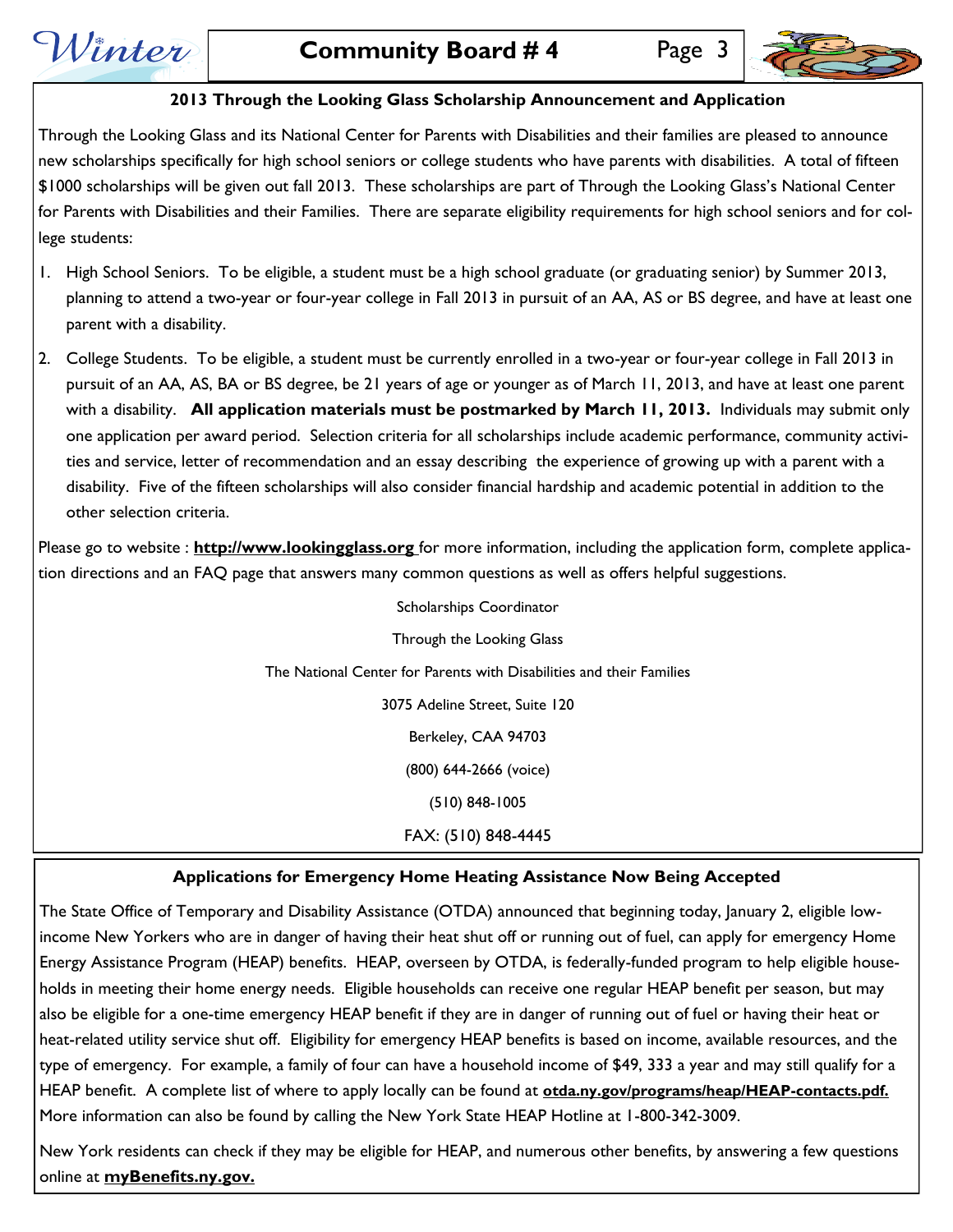Winter



#### **2013 Through the Looking Glass Scholarship Announcement and Application**

Through the Looking Glass and its National Center for Parents with Disabilities and their families are pleased to announce new scholarships specifically for high school seniors or college students who have parents with disabilities. A total of fifteen \$1000 scholarships will be given out fall 2013. These scholarships are part of Through the Looking Glass's National Center for Parents with Disabilities and their Families. There are separate eligibility requirements for high school seniors and for college students:

- 1. High School Seniors. To be eligible, a student must be a high school graduate (or graduating senior) by Summer 2013, planning to attend a two-year or four-year college in Fall 2013 in pursuit of an AA, AS or BS degree, and have at least one parent with a disability.
- 2. College Students. To be eligible, a student must be currently enrolled in a two-year or four-year college in Fall 2013 in pursuit of an AA, AS, BA or BS degree, be 21 years of age or younger as of March 11, 2013, and have at least one parent with a disability. **All application materials must be postmarked by March 11, 2013.** Individuals may submit only one application per award period. Selection criteria for all scholarships include academic performance, community activities and service, letter of recommendation and an essay describing the experience of growing up with a parent with a disability. Five of the fifteen scholarships will also consider financial hardship and academic potential in addition to the other selection criteria.

Please go to website : **http://www.lookingglass.org** for more information, including the application form, complete application directions and an FAQ page that answers many common questions as well as offers helpful suggestions.

> Scholarships Coordinator Through the Looking Glass The National Center for Parents with Disabilities and their Families 3075 Adeline Street, Suite 120 Berkeley, CAA 94703 (800) 644-2666 (voice) (510) 848-1005 FAX: (510) 848-4445

#### **Applications for Emergency Home Heating Assistance Now Being Accepted**

The State Office of Temporary and Disability Assistance (OTDA) announced that beginning today, January 2, eligible lowincome New Yorkers who are in danger of having their heat shut off or running out of fuel, can apply for emergency Home Energy Assistance Program (HEAP) benefits. HEAP, overseen by OTDA, is federally-funded program to help eligible households in meeting their home energy needs. Eligible households can receive one regular HEAP benefit per season, but may also be eligible for a one-time emergency HEAP benefit if they are in danger of running out of fuel or having their heat or heat-related utility service shut off. Eligibility for emergency HEAP benefits is based on income, available resources, and the type of emergency. For example, a family of four can have a household income of \$49, 333 a year and may still qualify for a HEAP benefit. A complete list of where to apply locally can be found at **otda.ny.gov/programs/heap/HEAP-contacts.pdf.**  More information can also be found by calling the New York State HEAP Hotline at 1-800-342-3009.

New York residents can check if they may be eligible for HEAP, and numerous other benefits, by answering a few questions online at **myBenefits.ny.gov.**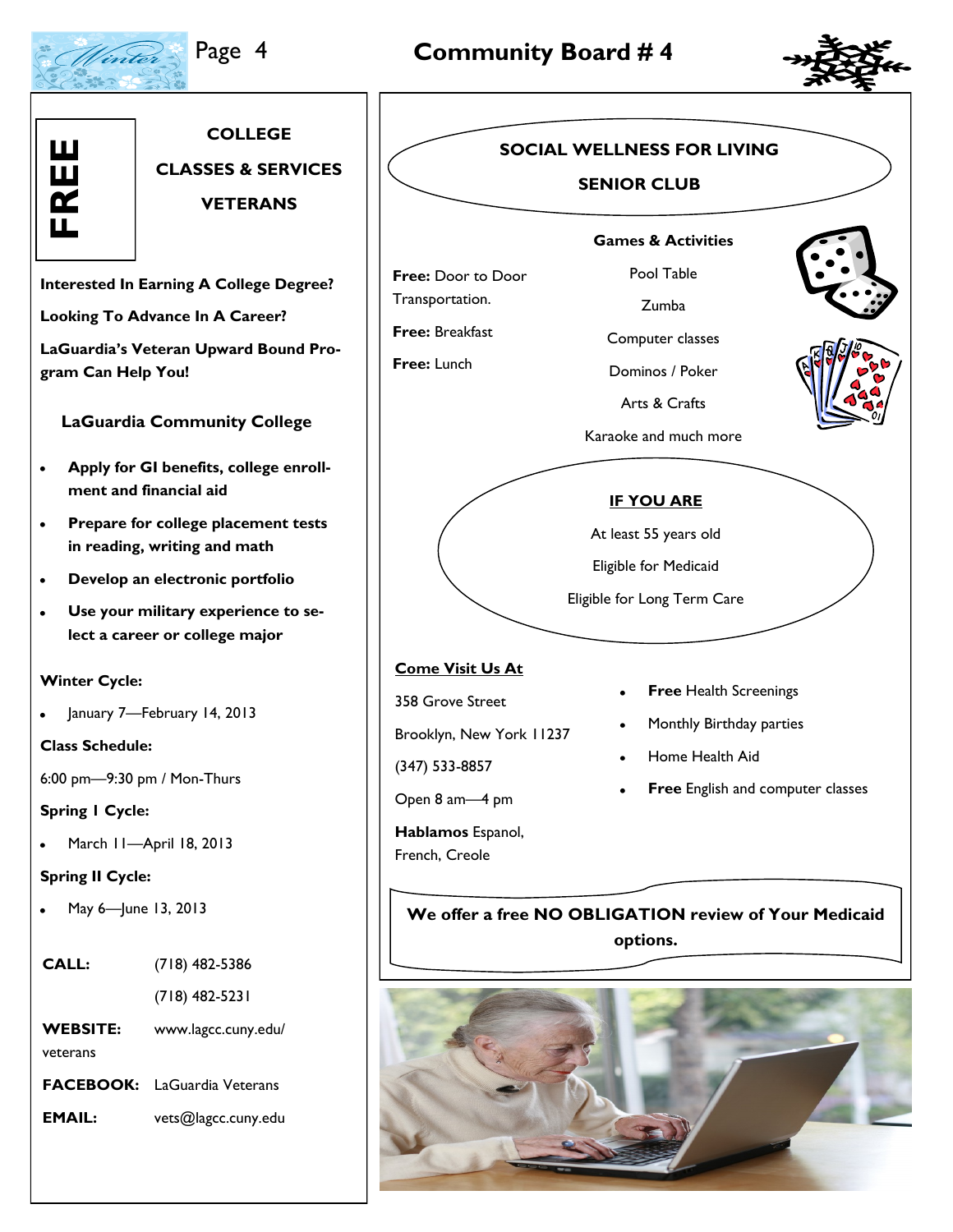Winter

## Page 4 **Community Board # 4**